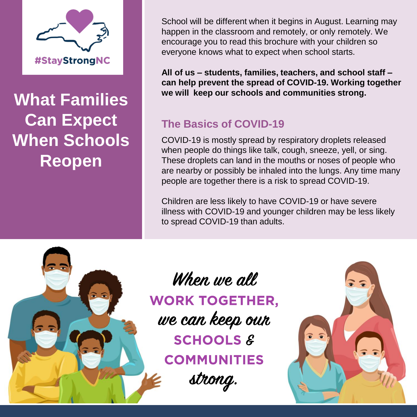

**What Families Can Expect When Schools Reopen**

School will be different when it begins in August. Learning may happen in the classroom and remotely, or only remotely. We encourage you to read this brochure with your children so everyone knows what to expect when school starts.

**All of us – students, families, teachers, and school staff – can help prevent the spread of COVID-19. Working together we will keep our schools and communities strong.**

# **The Basics of COVID-19**

COVID-19 is mostly spread by respiratory droplets released when people do things like talk, cough, sneeze, yell, or sing. These droplets can land in the mouths or noses of people who are nearby or possibly be inhaled into the lungs. Any time many people are together there is a risk to spread COVID-19.

Children are less likely to have COVID-19 or have severe illness with COVID-19 and younger children may be less likely to spread COVID-19 than adults.



When we all **WORK TOGETHER,** we can keep our **SCHOOLS & COMMUNITIES** strong.

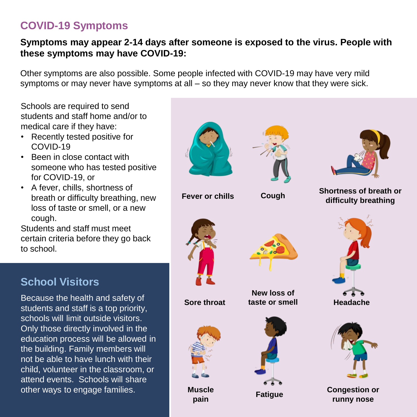# **COVID-19 Symptoms**

#### **Symptoms may appear 2-14 days after someone is exposed to the virus. People with these symptoms may have COVID-19:**

Other symptoms are also possible. Some people infected with COVID-19 may have very mild symptoms or may never have symptoms at all – so they may never know that they were sick.

Schools are required to send students and staff home and/or to medical care if they have:

- Recently tested positive for COVID-19
- Been in close contact with someone who has tested positive for COVID-19, or
- A fever, chills, shortness of breath or difficulty breathing, new loss of taste or smell, or a new cough.

Students and staff must meet certain criteria before they go back to school.

# **School Visitors**

Because the health and safety of students and staff is a top priority, schools will limit outside visitors. Only those directly involved in the education process will be allowed in the building. Family members will not be able to have lunch with their child, volunteer in the classroom, or attend events. Schools will share other ways to engage families.

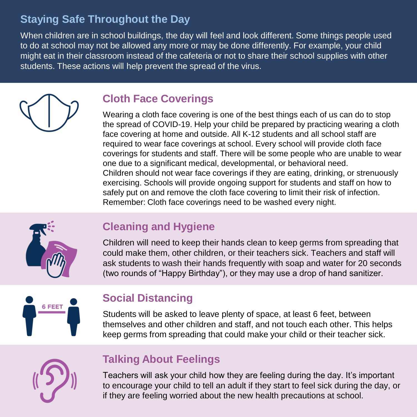# **Staying Safe Throughout the Day**

When children are in school buildings, the day will feel and look different. Some things people used to do at school may not be allowed any more or may be done differently. For example, your child might eat in their classroom instead of the cafeteria or not to share their school supplies with other students. These actions will help prevent the spread of the virus.

# **Cloth Face Coverings**

Wearing a cloth face covering is one of the best things each of us can do to stop the spread of COVID-19. Help your child be prepared by practicing wearing a cloth face covering at home and outside. All K-12 students and all school staff are required to wear face coverings at school. Every school will provide cloth face coverings for students and staff. There will be some people who are unable to wear one due to a significant medical, developmental, or behavioral need. Children should not wear face coverings if they are eating, drinking, or strenuously exercising. Schools will provide ongoing support for students and staff on how to safely put on and remove the cloth face covering to limit their risk of infection. Remember: Cloth face coverings need to be washed every night.



# **Cleaning and Hygiene**

Children will need to keep their hands clean to keep germs from spreading that could make them, other children, or their teachers sick. Teachers and staff will ask students to wash their hands frequently with soap and water for 20 seconds (two rounds of "Happy Birthday"), or they may use a drop of hand sanitizer.



# **Social Distancing**

Students will be asked to leave plenty of space, at least 6 feet, between themselves and other children and staff, and not touch each other. This helps keep germs from spreading that could make your child or their teacher sick.

# **Talking About Feelings**

Teachers will ask your child how they are feeling during the day. It's important to encourage your child to tell an adult if they start to feel sick during the day, or if they are feeling worried about the new health precautions at school.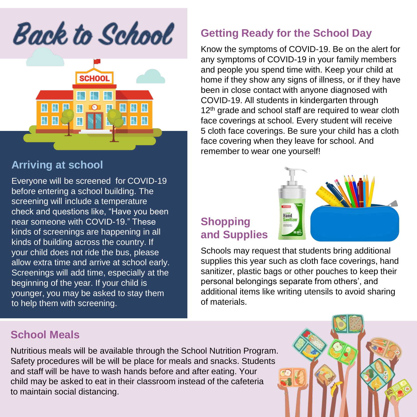**Back to School** 



## **Arriving at school**

Everyone will be screened for COVID-19 before entering a school building. The screening will include a temperature check and questions like, "Have you been near someone with COVID-19." These kinds of screenings are happening in all kinds of building across the country. If your child does not ride the bus, please allow extra time and arrive at school early. Screenings will add time, especially at the beginning of the year. If your child is younger, you may be asked to stay them to help them with screening.

## **School Meals**

Nutritious meals will be available through the School Nutrition Program. Safety procedures will be will be place for meals and snacks. Students and staff will be have to wash hands before and after eating. Your child may be asked to eat in their classroom instead of the cafeteria to maintain social distancing.

## **Getting Ready for the School Day**

Know the symptoms of COVID-19. Be on the alert for any symptoms of COVID-19 in your family members and people you spend time with. Keep your child at home if they show any signs of illness, or if they have been in close contact with anyone diagnosed with COVID-19. All students in kindergarten through 12<sup>th</sup> grade and school staff are required to wear cloth face coverings at school. Every student will receive 5 cloth face coverings. Be sure your child has a cloth face covering when they leave for school. And remember to wear one yourself!

# **Shopping and Supplies**



Schools may request that students bring additional supplies this year such as cloth face coverings, hand sanitizer, plastic bags or other pouches to keep their personal belongings separate from others', and additional items like writing utensils to avoid sharing of materials.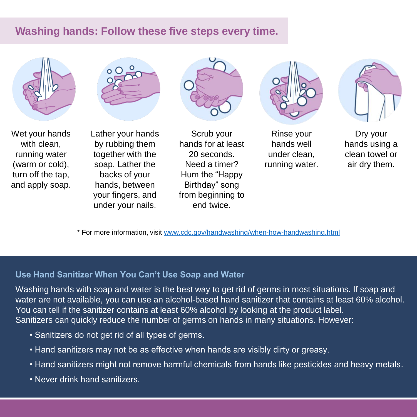## **Washing hands: Follow these five steps every time.**







Wet your hands with clean. running water (warm or cold), turn off the tap, and apply soap.

Lather your hands by rubbing them together with the soap. Lather the backs of your hands, between your fingers, and under your nails.

Scrub your hands for at least 20 seconds. Need a timer? Hum the "Happy Birthday" song from beginning to end twice.



Rinse your hands well under clean, running water.



Dry your hands using a clean towel or air dry them.

\* For more information, visit [www.cdc.gov/handwashing/when-how-handwashing.html](http://www.cdc.gov/handwashing/when-how-handwashing.html)

#### **Use Hand Sanitizer When You Can't Use Soap and Water**

Washing hands with soap and water is the best way to get rid of germs in most situations. If soap and water are not available, you can use an alcohol-based hand sanitizer that contains at least 60% alcohol. You can tell if the sanitizer contains at least 60% alcohol by looking at the product label. Sanitizers can quickly reduce the number of germs on hands in many situations. However:

- Sanitizers do not get rid of all types of germs.
- Hand sanitizers may not be as effective when hands are visibly dirty or greasy.
- Hand sanitizers might not remove harmful chemicals from hands like pesticides and heavy metals.
- Never drink hand sanitizers.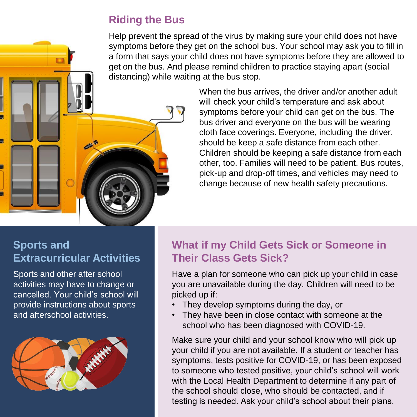# **Riding the Bus**

Help prevent the spread of the virus by making sure your child does not have symptoms before they get on the school bus. Your school may ask you to fill in a form that says your child does not have symptoms before they are allowed to get on the bus. And please remind children to practice staying apart (social distancing) while waiting at the bus stop.

When the bus arrives, the driver and/or another adult will check your child's temperature and ask about symptoms before your child can get on the bus. The bus driver and everyone on the bus will be wearing cloth face coverings. Everyone, including the driver, should be keep a safe distance from each other. Children should be keeping a safe distance from each other, too. Families will need to be patient. Bus routes, pick-up and drop-off times, and vehicles may need to change because of new health safety precautions.

## **Sports and Extracurricular Activities**

Sports and other after school activities may have to change or cancelled. Your child's school will provide instructions about sports and afterschool activities.



# **What if my Child Gets Sick or Someone in Their Class Gets Sick?**

Have a plan for someone who can pick up your child in case you are unavailable during the day. Children will need to be picked up if:

- They develop symptoms during the day, or
- They have been in close contact with someone at the school who has been diagnosed with COVID-19.

Make sure your child and your school know who will pick up your child if you are not available. If a student or teacher has symptoms, tests positive for COVID-19, or has been exposed to someone who tested positive, your child's school will work with the Local Health Department to determine if any part of the school should close, who should be contacted, and if testing is needed. Ask your child's school about their plans.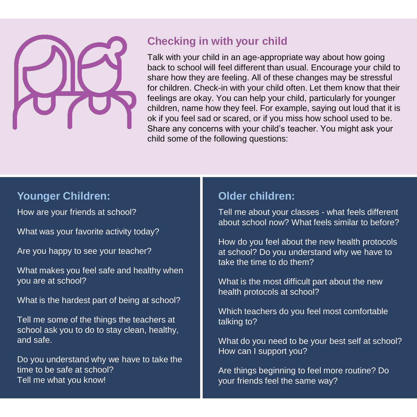

## **Checking in with your child**

Talk with your child in an age-appropriate way about how going back to school will feel different than usual. Encourage your child to share how they are feeling. All of these changes may be stressful for children. Check-in with your child often. Let them know that their feelings are okay. You can help your child, particularly for younger children, name how they feel. For example, saying out loud that it is ok if you feel sad or scared, or if you miss how school used to be. Share any concerns with your child's teacher. You might ask your child some of the following questions:

## **Younger Children:**

How are your friends at school?

What was your favorite activity today?

Are you happy to see your teacher?

What makes you feel safe and healthy when you are at school?

What is the hardest part of being at school?

Tell me some of the things the teachers at school ask you to do to stay clean, healthy, and safe.

Do you understand why we have to take the time to be safe at school? Tell me what you know!

## **Older children:**

Tell me about your classes - what feels different about school now? What feels similar to before?

How do you feel about the new health protocols at school? Do you understand why we have to take the time to do them?

What is the most difficult part about the new health protocols at school?

Which teachers do you feel most comfortable talking to?

What do you need to be your best self at school? How can I support you?

Are things beginning to feel more routine? Do your friends feel the same way?